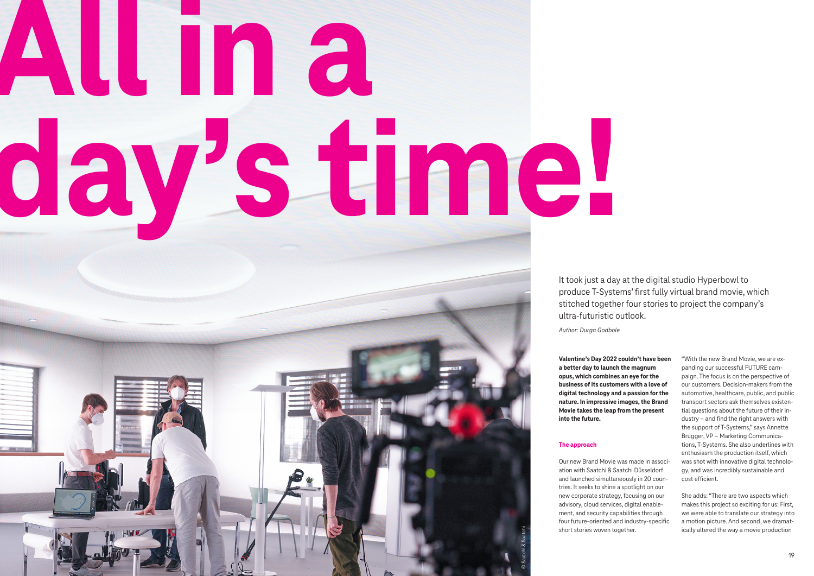It took just a day at the digital studio Hyperbowl to produce T-Systems' first fully virtual brand movie, which stitched together four stories to project the company's ultra-futuristic outlook.

## **All in a day's time!**



© Saatchi & Saatchi

**Valentine's Day 2022 couldn't have been a better day to launch the magnum opus, which combines an eye for the business of its customers with a love of digital technology and a passion for the nature. In impressive images, the Brand Movie takes the leap from the present into the future.**

## **The approach**

Our new Brand Movie was made in association with Saatchi & Saatchi Düsseldorf and launched simultaneously in 20 countries. It seeks to shine a spotlight on our new corporate strategy, focusing on our advisory, cloud services, digital enablement, and security capabilities through four future-oriented and industry-specific short stories woven together.

"With the new Brand Movie, we are expanding our successful FUTURE campaign. The focus is on the perspective of our customers. Decision-makers from the automotive, healthcare, public, and public transport sectors ask themselves existential questions about the future of their industry – and find the right answers with the support of T-Systems," says Annette Brugger, VP – Marketing Communications, T-Systems. She also underlines with enthusiasm the production itself, which was shot with innovative digital technology, and was incredibly sustainable and cost efficient.

She adds: "There are two aspects which makes this project so exciting for us: First, we were able to translate our strategy into a motion picture. And second, we dramatically altered the way a movie production

*Author: Durga Godbole*